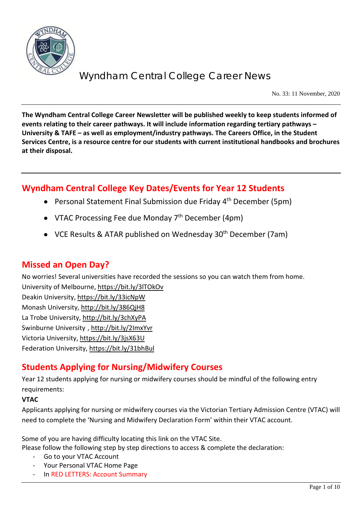

No. 33: 11 November, 2020

**The Wyndham Central College Career Newsletter will be published weekly to keep students informed of events relating to their career pathways. It will include information regarding tertiary pathways – University & TAFE – as well as employment/industry pathways. The Careers Office, in the Student Services Centre, is a resource centre for our students with current institutional handbooks and brochures at their disposal.**

## **Wyndham Central College Key Dates/Events for Year 12 Students**

- Personal Statement Final Submission due Friday 4<sup>th</sup> December (5pm)
- VTAC Processing Fee due Monday  $7<sup>th</sup>$  December (4pm)
- VCE Results & ATAR published on Wednesday 30<sup>th</sup> December (7am)

## **Missed an Open Day?**

No worries! Several universities have recorded the sessions so you can watch them from home.

University of Melbourne[, https://bit.ly/3lTOkOv](https://bit.ly/3lTOkOv) Deakin University,<https://bit.ly/33icNpW> Monash University,<http://bit.ly/386QjH8> La Trobe University,<http://bit.ly/3chXyPA> Swinburne University ,<http://bit.ly/2ImxYvr> Victoria University,<https://bit.ly/3jsX63U> Federation University[, https://bit.ly/31bhBul](https://bit.ly/31bhBul)

## **Students Applying for Nursing/Midwifery Courses**

Year 12 students applying for nursing or midwifery courses should be mindful of the following entry requirements:

## **VTAC**

Applicants applying for nursing or midwifery courses via the Victorian Tertiary Admission Centre (VTAC) will need to complete the 'Nursing and Midwifery Declaration Form' within their VTAC account.

Some of you are having difficulty locating this link on the VTAC Site.

Please follow the following step by step directions to access & complete the declaration:

- Go to your VTAC Account
- Your Personal VTAC Home Page
- In RED LETTERS: Account Summary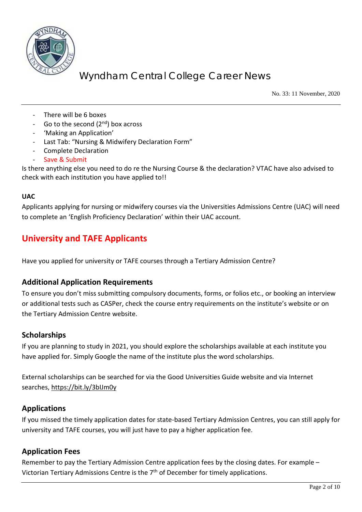

No. 33: 11 November, 2020

- There will be 6 boxes
- Go to the second  $(2^{nd})$  box across
- 'Making an Application'
- Last Tab: "Nursing & Midwifery Declaration Form"
- Complete Declaration
- Save & Submit

Is there anything else you need to do re the Nursing Course & the declaration? VTAC have also advised to check with each institution you have applied to!!

#### **UAC**

Applicants applying for nursing or midwifery courses via the Universities Admissions Centre (UAC) will need to complete an 'English Proficiency Declaration' within their UAC account.

## **University and TAFE Applicants**

Have you applied for university or TAFE courses through a Tertiary Admission Centre?

## **Additional Application Requirements**

To ensure you don't miss submitting compulsory documents, forms, or folios etc., or booking an interview or additional tests such as CASPer, check the course entry requirements on the institute's website or on the Tertiary Admission Centre website.

#### **Scholarships**

If you are planning to study in 2021, you should explore the scholarships available at each institute you have applied for. Simply Google the name of the institute plus the word scholarships.

External scholarships can be searched for via the Good Universities Guide website and via Internet searches,<https://bit.ly/3bIJm0y>

## **Applications**

If you missed the timely application dates for state-based Tertiary Admission Centres, you can still apply for university and TAFE courses, you will just have to pay a higher application fee.

#### **Application Fees**

Remember to pay the Tertiary Admission Centre application fees by the closing dates. For example – Victorian Tertiary Admissions Centre is the 7<sup>th</sup> of December for timely applications.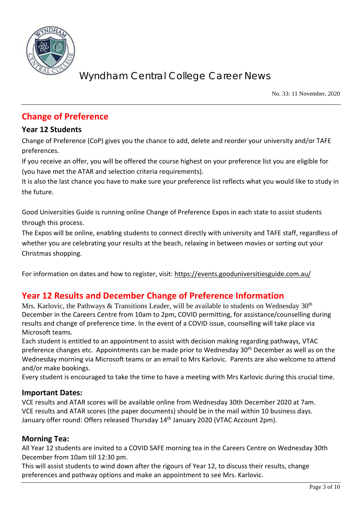

No. 33: 11 November, 2020

## **Change of Preference**

## **Year 12 Students**

Change of Preference (CoP) gives you the chance to add, delete and reorder your university and/or TAFE preferences.

If you receive an offer, you will be offered the course highest on your preference list you are eligible for (you have met the ATAR and selection criteria requirements).

It is also the last chance you have to make sure your preference list reflects what you would like to study in the future.

Good Universities Guide is running online Change of Preference Expos in each state to assist students through this process.

The Expos will be online, enabling students to connect directly with university and TAFE staff, regardless of whether you are celebrating your results at the beach, relaxing in between movies or sorting out your Christmas shopping.

For information on dates and how to register, visit: <https://events.gooduniversitiesguide.com.au/>

## **Year 12 Results and December Change of Preference Information**

Mrs. Karlovic, the Pathways & Transitions Leader, will be available to students on Wednesday  $30<sup>th</sup>$ December in the Careers Centre from 10am to 2pm, COVID permitting, for assistance/counselling during results and change of preference time. In the event of a COVID issue, counselling will take place via Microsoft teams.

Each student is entitled to an appointment to assist with decision making regarding pathways, VTAC preference changes etc. Appointments can be made prior to Wednesday 30<sup>th</sup> December as well as on the Wednesday morning via Microsoft teams or an email to Mrs Karlovic. Parents are also welcome to attend and/or make bookings.

Every student is encouraged to take the time to have a meeting with Mrs Karlovic during this crucial time.

## **Important Dates:**

VCE results and ATAR scores will be available online from Wednesday 30th December 2020 at 7am. VCE results and ATAR scores (the paper documents) should be in the mail within 10 business days. January offer round: Offers released Thursday 14<sup>th</sup> January 2020 (VTAC Account 2pm).

## **Morning Tea:**

All Year 12 students are invited to a COVID SAFE morning tea in the Careers Centre on Wednesday 30th December from 10am till 12:30 pm.

This will assist students to wind down after the rigours of Year 12, to discuss their results, change preferences and pathway options and make an appointment to see Mrs. Karlovic.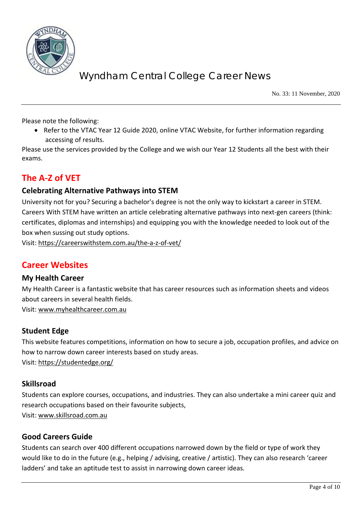

No. 33: 11 November, 2020

Please note the following:

• Refer to the VTAC Year 12 Guide 2020, online VTAC Website, for further information regarding accessing of results.

Please use the services provided by the College and we wish our Year 12 Students all the best with their exams.

## **The A-Z of VET**

## **Celebrating Alternative Pathways into STEM**

University not for you? Securing a bachelor's degree is not the only way to kickstart a career in STEM. Careers With STEM have written an article celebrating alternative pathways into next-gen careers (think: certificates, diplomas and internships) and equipping you with the knowledge needed to look out of the box when sussing out study options.

Visit:<https://careerswithstem.com.au/the-a-z-of-vet/>

## **Career Websites**

#### **My Health Career**

My Health Career is a fantastic website that has career resources such as information sheets and videos about careers in several health fields.

Visit: [www.myhealthcareer.com.au](http://www.myhealthcareer.com.au/)

## **Student Edge**

This website features competitions, information on how to secure a job, occupation profiles, and advice on how to narrow down career interests based on study areas. Visit:<https://studentedge.org/>

## **Skillsroad**

Students can explore courses, occupations, and industries. They can also undertake a mini career quiz and research occupations based on their favourite subjects, Visit: [www.skillsroad.com.au](http://www.skillsroad.com.au/)

## **Good Careers Guide**

Students can search over 400 different occupations narrowed down by the field or type of work they would like to do in the future (e.g., helping / advising, creative / artistic). They can also research 'career ladders' and take an aptitude test to assist in narrowing down career ideas.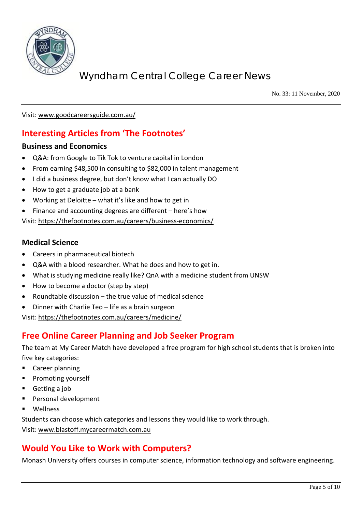

No. 33: 11 November, 2020

Visit: [www.goodcareersguide.com.au/](http://www.goodcareersguide.com.au/)

## **Interesting Articles from 'The Footnotes'**

### **Business and Economics**

- Q&A: from Google to Tik Tok to venture capital in London
- From earning \$48,500 in consulting to \$82,000 in talent management
- I did a business degree, but don't know what I can actually DO
- How to get a graduate job at a bank
- Working at Deloitte what it's like and how to get in
- Finance and accounting degrees are different here's how

Visit:<https://thefootnotes.com.au/careers/business-economics/>

## **Medical Science**

- Careers in pharmaceutical biotech
- Q&A with a blood researcher. What he does and how to get in.
- What is studying medicine really like? QnA with a medicine student from UNSW
- How to become a doctor (step by step)
- Roundtable discussion the true value of medical science
- Dinner with Charlie Teo life as a brain surgeon

Visit:<https://thefootnotes.com.au/careers/medicine/>

## **Free Online Career Planning and Job Seeker Program**

The team at My Career Match have developed a free program for high school students that is broken into five key categories:

- **EXEC** Career planning
- Promoting yourself
- Getting a job
- Personal development
- **Nellness**

Students can choose which categories and lessons they would like to work through.

Visit: [www.blastoff.mycareermatch.com.au](http://www.blastoff.mycareermatch.com.au/)

## **Would You Like to Work with Computers?**

Monash University offers courses in computer science, information technology and software engineering.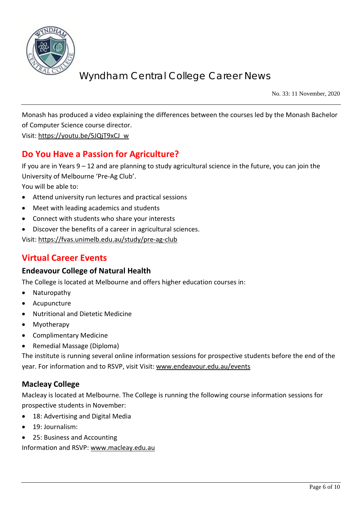

No. 33: 11 November, 2020

Monash has produced a video explaining the differences between the courses led by the Monash Bachelor of Computer Science course director.

Visit: [https://youtu.be/5JQjT9xCJ\\_w](https://youtu.be/5JQjT9xCJ_w)

## **Do You Have a Passion for Agriculture?**

If you are in Years 9 – 12 and are planning to study agricultural science in the future, you can join the University of Melbourne 'Pre-Ag Club'.

You will be able to:

- Attend university run lectures and practical sessions
- Meet with leading academics and students
- Connect with students who share your interests
- Discover the benefits of a career in agricultural sciences.

Visit:<https://fvas.unimelb.edu.au/study/pre-ag-club>

## **Virtual Career Events**

## **Endeavour College of Natural Health**

The College is located at Melbourne and offers higher education courses in:

- **Naturopathy**
- Acupuncture
- Nutritional and Dietetic Medicine
- **Myotherapy**
- Complimentary Medicine
- Remedial Massage (Diploma)

The institute is running several online information sessions for prospective students before the end of the year. For information and to RSVP, visit Visit[: www.endeavour.edu.au/events](http://www.endeavour.edu.au/events)

## **Macleay College**

Macleay is located at Melbourne. The College is running the following course information sessions for prospective students in November:

- 18: Advertising and Digital Media
- 19: Journalism:
- 25: Business and Accounting

Information and RSVP: [www.macleay.edu.au](http://www.macleay.edu.au/)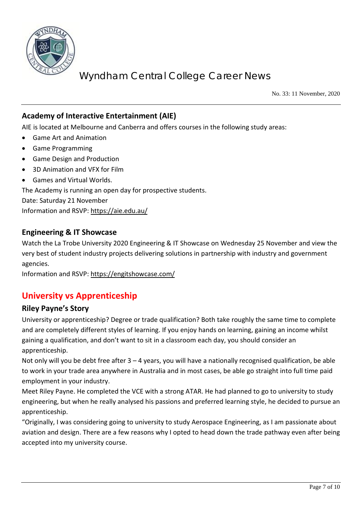

No. 33: 11 November, 2020

## **Academy of Interactive Entertainment (AIE)**

AIE is located at Melbourne and Canberra and offers courses in the following study areas:

- Game Art and Animation
- Game Programming
- Game Design and Production
- 3D Animation and VFX for Film
- Games and Virtual Worlds.

The Academy is running an open day for prospective students.

Date: Saturday 21 November

Information and RSVP:<https://aie.edu.au/>

## **Engineering & IT Showcase**

Watch the La Trobe University 2020 Engineering & IT Showcase on Wednesday 25 November and view the very best of student industry projects delivering solutions in partnership with industry and government agencies.

Information and RSVP:<https://engitshowcase.com/>

## **University vs Apprenticeship**

## **Riley Payne's Story**

University or apprenticeship? Degree or trade qualification? Both take roughly the same time to complete and are completely different styles of learning. If you enjoy hands on learning, gaining an income whilst gaining a qualification, and don't want to sit in a classroom each day, you should consider an apprenticeship.

Not only will you be debt free after 3 – 4 years, you will have a nationally recognised qualification, be able to work in your trade area anywhere in Australia and in most cases, be able go straight into full time paid employment in your industry.

Meet Riley Payne. He completed the VCE with a strong ATAR. He had planned to go to university to study engineering, but when he really analysed his passions and preferred learning style, he decided to pursue an apprenticeship.

"Originally, I was considering going to university to study Aerospace Engineering, as I am passionate about aviation and design. There are a few reasons why I opted to head down the trade pathway even after being accepted into my university course.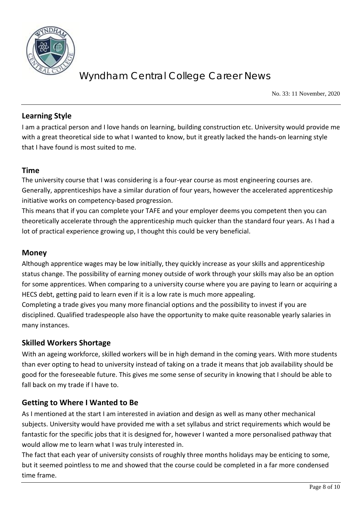

No. 33: 11 November, 2020

## **Learning Style**

I am a practical person and I love hands on learning, building construction etc. University would provide me with a great theoretical side to what I wanted to know, but it greatly lacked the hands-on learning style that I have found is most suited to me.

## **Time**

The university course that I was considering is a four-year course as most engineering courses are. Generally, apprenticeships have a similar duration of four years, however the accelerated apprenticeship initiative works on competency-based progression.

This means that if you can complete your TAFE and your employer deems you competent then you can theoretically accelerate through the apprenticeship much quicker than the standard four years. As I had a lot of practical experience growing up, I thought this could be very beneficial.

## **Money**

Although apprentice wages may be low initially, they quickly increase as your skills and apprenticeship status change. The possibility of earning money outside of work through your skills may also be an option for some apprentices. When comparing to a university course where you are paying to learn or acquiring a HECS debt, getting paid to learn even if it is a low rate is much more appealing.

Completing a trade gives you many more financial options and the possibility to invest if you are disciplined. Qualified tradespeople also have the opportunity to make quite reasonable yearly salaries in many instances.

## **Skilled Workers Shortage**

With an ageing workforce, skilled workers will be in high demand in the coming years. With more students than ever opting to head to university instead of taking on a trade it means that job availability should be good for the foreseeable future. This gives me some sense of security in knowing that I should be able to fall back on my trade if I have to.

## **Getting to Where I Wanted to Be**

As I mentioned at the start I am interested in aviation and design as well as many other mechanical subjects. University would have provided me with a set syllabus and strict requirements which would be fantastic for the specific jobs that it is designed for, however I wanted a more personalised pathway that would allow me to learn what I was truly interested in.

The fact that each year of university consists of roughly three months holidays may be enticing to some, but it seemed pointless to me and showed that the course could be completed in a far more condensed time frame.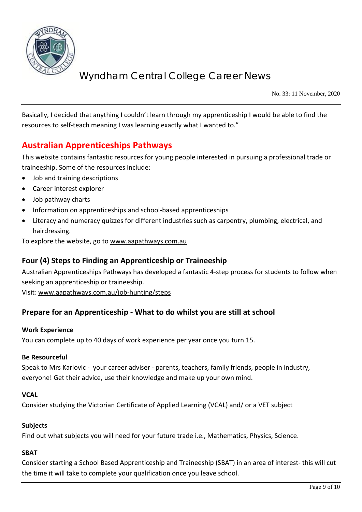

No. 33: 11 November, 2020

Basically, I decided that anything I couldn't learn through my apprenticeship I would be able to find the resources to self-teach meaning I was learning exactly what I wanted to."

## **Australian Apprenticeships Pathways**

This website contains fantastic resources for young people interested in pursuing a professional trade or traineeship. Some of the resources include:

- Job and training descriptions
- Career interest explorer
- Job pathway charts
- Information on apprenticeships and school-based apprenticeships
- Literacy and numeracy quizzes for different industries such as carpentry, plumbing, electrical, and hairdressing.

To explore the website, go to [www.aapathways.com.au](http://www.aapathways.com.au/)

## **Four (4) Steps to Finding an Apprenticeship or Traineeship**

Australian Apprenticeships Pathways has developed a fantastic 4-step process for students to follow when seeking an apprenticeship or traineeship.

Visit: [www.aapathways.com.au/job-hunting/steps](http://www.aapathways.com.au/job-hunting/steps)

## **Prepare for an Apprenticeship - What to do whilst you are still at school**

#### **Work Experience**

You can complete up to 40 days of work experience per year once you turn 15.

#### **Be Resourceful**

Speak to Mrs Karlovic - your career adviser - parents, teachers, family friends, people in industry, everyone! Get their advice, use their knowledge and make up your own mind.

#### **VCAL**

Consider studying the Victorian Certificate of Applied Learning (VCAL) and/ or a VET subject

#### **Subjects**

Find out what subjects you will need for your future trade i.e., Mathematics, Physics, Science.

#### **SBAT**

Consider starting a School Based Apprenticeship and Traineeship (SBAT) in an area of interest- this will cut the time it will take to complete your qualification once you leave school.